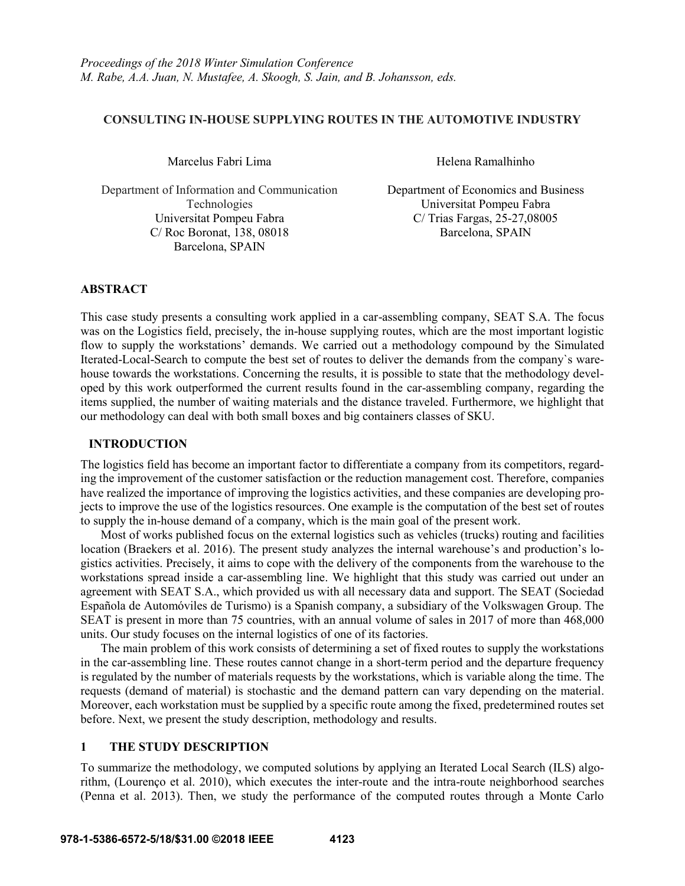# **CONSULTING IN-HOUSE SUPPLYING ROUTES IN THE AUTOMOTIVE INDUSTRY**

Marcelus Fabri Lima **Helena Ramalhinho** 

Department of Information and Communication Technologies Universitat Pompeu Fabra C/ Trias Fargas, 25-27,08005 C/ Roc Boronat, 138, 08018 Barcelona, SPAIN Barcelona, SPAIN

Department of Economics and Business Universitat Pompeu Fabra

## **ABSTRACT**

This case study presents a consulting work applied in a car-assembling company, SEAT S.A. The focus was on the Logistics field, precisely, the in-house supplying routes, which are the most important logistic flow to supply the workstations' demands. We carried out a methodology compound by the Simulated Iterated-Local-Search to compute the best set of routes to deliver the demands from the company`s warehouse towards the workstations. Concerning the results, it is possible to state that the methodology developed by this work outperformed the current results found in the car-assembling company, regarding the items supplied, the number of waiting materials and the distance traveled. Furthermore, we highlight that our methodology can deal with both small boxes and big containers classes of SKU.

### **INTRODUCTION**

The logistics field has become an important factor to differentiate a company from its competitors, regarding the improvement of the customer satisfaction or the reduction management cost. Therefore, companies have realized the importance of improving the logistics activities, and these companies are developing projects to improve the use of the logistics resources. One example is the computation of the best set of routes to supply the in-house demand of a company, which is the main goal of the present work.

Most of works published focus on the external logistics such as vehicles (trucks) routing and facilities location (Braekers et al. 2016). The present study analyzes the internal warehouse's and production's logistics activities. Precisely, it aims to cope with the delivery of the components from the warehouse to the workstations spread inside a car-assembling line. We highlight that this study was carried out under an agreement with SEAT S.A., which provided us with all necessary data and support. The SEAT (Sociedad Española de Automóviles de Turismo) is a Spanish company, a subsidiary of the Volkswagen Group. The SEAT is present in more than 75 countries, with an annual volume of sales in 2017 of more than 468,000 units. Our study focuses on the internal logistics of one of its factories.

The main problem of this work consists of determining a set of fixed routes to supply the workstations in the car-assembling line. These routes cannot change in a short-term period and the departure frequency is regulated by the number of materials requests by the workstations, which is variable along the time. The requests (demand of material) is stochastic and the demand pattern can vary depending on the material. Moreover, each workstation must be supplied by a specific route among the fixed, predetermined routes set before. Next, we present the study description, methodology and results.

## **1 THE STUDY DESCRIPTION**

To summarize the methodology, we computed solutions by applying an Iterated Local Search (ILS) algorithm, (Lourenço et al. 2010), which executes the inter-route and the intra-route neighborhood searches (Penna et al. 2013). Then, we study the performance of the computed routes through a Monte Carlo